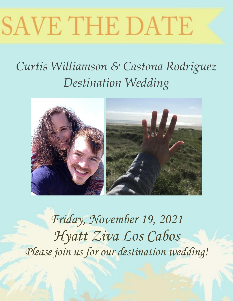# SAVE THE DATE

# *Curtis Williamson & Castona Rodriguez Destination Wedding*



*Friday, November 19, 2021 Hyatt Ziva Los Cabos Please join us for our destination wedding!*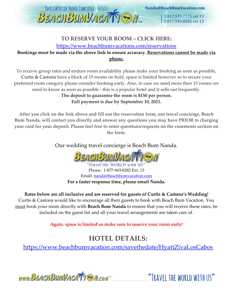

1.317.577.7775 ext 13

## 1.877.943.8282 ext 13

#### **TO RESERVE YOUR ROOM – CLICK HERE:**

#### <https://www.beachbumvacations.com/reservations>

#### **Bookings must be made via the above link to ensure accuracy. Reservations cannot be made via phone.**

To receive group rates and endure room availability please make your booking as soon as possible, Curtis & Castona have a block of 15 rooms on hold, space is limited however so to secure your preferred room category please consider booking early. Also, in case we need more then 15 rooms we need to know as soon as possible - this is a popular hotel and it sells out frequently.

#### **The deposit to guarantee the room is \$150 per person. Full payment is due by September 10, 2021.**

**After you click on the link above and fill out the reservation form, our travel concierge, Beach Bum Nanda, will contact you directly and answer any questions you may have PRIOR to charging your card for your deposit. Please feel free to enter questions/requests on the comments section on the form.**

Our wedding travel concierge is Beach Bum Nanda.



"Travel the WORLD with US Phone: 1-877-943-8282 Ext. 13 Email: [nanda@beachbumvacation.com](mailto:nanda@beachbumvacation.com) **For a faster response time, please email Nanda.** 

**Rates below are all inclusive and are reserved for guests of Curtis & Castona's Wedding!** Curtis & Castona would like to encourage all their guests to book with Beach Bum Vacation. You must book your room directly with **Beach Bum Nanda** to ensure that you will receive these rates, be included on the guest list and all your travel arrangements are taken care of.

**Again. space is limited so make sure to reserve your room early!**

## **HOTEL DETAILS:**

<https://www.beachbumvacation.com/savethedate/HyattZivaLosCabos>

www.BEACHBUMVACATTEN.com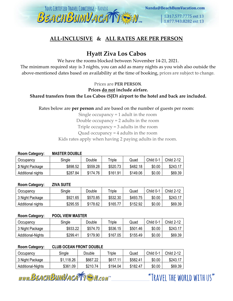

#### **ALL-INCLUSIVE & ALL RATES ARE PER PERSON**

### **Hyatt Ziva Los Cabos**

We have the rooms blocked between November 14-21, 2021.

The minimum required stay is 3 nights, you can add as many nights as you wish also outside the above-mentioned dates based on availability at the time of booking, prices are subject to change.

Prices are **PER PERSON**.

**Prices do not include airfare.** 

#### **Shared transfers from the Los Cabos (SJD) airport to the hotel and back are included.**

Rates below are **per person** and are based on the number of guests per room:

Single occupancy = 1 adult in the room

Double occupancy = 2 adults in the room

Triple occupancy = 3 adults in the room

Quad occupancy = 4 adults in the room

Kids rates apply when having 2 paying adults in the room.

| <b>MASTER DOUBLE</b><br><b>Room Category:</b> |                  |          |          |          |          |           |            |
|-----------------------------------------------|------------------|----------|----------|----------|----------|-----------|------------|
|                                               | <b>Occupancy</b> | Single   | Double   | Triple   | Quad     | Child 0-1 | Child 2-12 |
|                                               | 3 Night Package  | \$898.52 | \$559.28 | \$520.73 | \$482.18 | \$0.00    | \$243.17   |

**Room Category: ZIVA SUITE** 

| Occupancv         | Single   | Double   | Triple   | Quad     | Child 0-1 | <b>Child 2-12</b> |
|-------------------|----------|----------|----------|----------|-----------|-------------------|
| 3 Night Package   | \$921.65 | \$570.85 | \$532.30 | \$493.75 | \$0.00    | \$243.1           |
| Additional nights | \$295.55 | \$178.62 | \$165.77 | \$152.92 | \$0.00    | \$69.39           |

Additional nights | \$287.84 | \$174.76 | \$161.91 | \$149.06 | \$0.00 | \$69.39

#### **Room Category: POOL VIEW MASTER**

| Occupancv         | Single   | Double   | Triple   | Quad     | Child 0-1 | Child 2-12 |
|-------------------|----------|----------|----------|----------|-----------|------------|
| 3 Night Package   | \$933.22 | \$574.70 | \$536.15 | \$501.46 | \$0.00    | \$243.17   |
| Additional-Nights | \$299.41 | \$179.90 | \$167.05 | \$155.49 | \$0.00    | \$69.39    |

#### **Room Category: CLUB OCEAN FRONT DOUBLE**

| Occupancv         | Single     | Double   | $r$ riple | Quad     | Child 0-1 | Child 2-12 |
|-------------------|------------|----------|-----------|----------|-----------|------------|
| 3 Night Package   | \$1,118.26 | \$667.22 | \$617.11  | \$582.41 | \$0.00    | \$243.1    |
| Additional-Nights | \$361.09   | \$210.74 | \$194.04  | \$182.47 | \$0.00    | \$69.39    |

www.BEACHBUMVACATTEM.com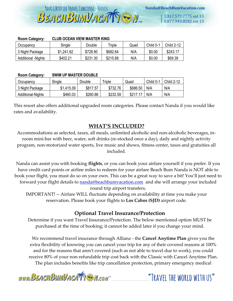1.317.577.7775 ext 13 1.877.943.8282 ext 13

| <b>CLUB OCEAN VIEW MASTER KING</b><br><b>Room Category:</b> |            |          |          |      |           |            |  |
|-------------------------------------------------------------|------------|----------|----------|------|-----------|------------|--|
| Occupancy                                                   | Single     | Double   | Triple   | Quad | Child 0-1 | Child 2-12 |  |
| 3 Night Package                                             | \$1.241.62 | \$728.90 | \$682.64 | N/A  | \$0.00    | \$243.17   |  |
| <b>Additional -Nights</b>                                   | \$402.21   | \$231.30 | \$215.88 | N/A  | \$0.00    | \$69.39    |  |

YOUR CERTIFIED TRAVEL CONCIERGE - NANDA

BEACHBUMVACAT

#### **Room Category: SWIM UP MASTER DOUBLE**

| Occupancv         | Single     | Double   | riple    | Quad     | Child 0-1 | <b>Child 2-12</b> |
|-------------------|------------|----------|----------|----------|-----------|-------------------|
| 3 Night Package   | \$1,415.09 | \$817.57 | \$732.76 | \$686.50 | N/A       | N/A               |
| Additional-Nights | \$460.03   | \$260.86 | \$232.59 | \$217.   | N/A       | N/A               |

This resort also offers additional upgraded room categories. Please contact Nanda if you would like rates and availability.

#### **WHAT'S INCLUDED?**

Accommodations as selected, taxes, all meals, unlimited alcoholic and non-alcoholic beverages, inroom mini-bar with beer, water, soft drinks (re-stocked once a day), daily and nightly activity program, non-motorized water sports, live music and shows, fitness center, taxes and gratuities all included.

Nanda can assist you with booking **flights**, or you can book your airfare yourself if you prefer. If you have credit card points or airline miles to redeem for your airfare Beach Bum Nanda is NOT able to book your flight, you must do so on your own. This can be a great way to save a bit! You'll just need to forward your flight details to **nanda@beachbumvacation.com** and she will arrange your included round trip airport transfers.

IMPORTANT! -- Airfare WILL fluctuate depending on availability at time you make your reservation. Please book your flights to **Los Cabos (SJD)** airport code.

#### **Optional Travel Insurance/Protection**

Determine if you want Travel Insurance/Protection. The below mentioned option MUST be purchased at the time of booking; it cannot be added later if you change your mind.

We recommend travel insurance through Allianz - the **Cancel Anytime Plan** gives you the extra flexibility of knowing you can cancel your trip for any of their covered reasons at 100% and for the reasons that aren't covered (such as not able to travel due to work), you could receive 80% of your non-refundable trip cost back with the Classic with Cancel Anytime Plan. The plan includes benefits like trip cancellation protection, primary emergency medical

www.BEACHBUMVACATTEN.com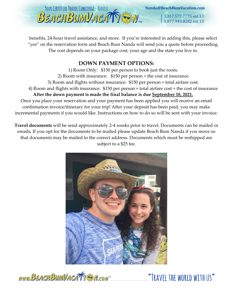

benefits, 24-hour travel assistance, and more. If you're interested in adding this, please select "yes" on the reservation form and Beach Bum Nanda will send you a quote before proceeding. The cost depends on your package cost, your age and the state you live in.

#### **DOWN PAYMENT OPTIONS:**

1) Room Only: \$150 per person to book just the room. 2) Room with insurance: \$150 per person + the cost of insurance 3) Room and flights without insurance: \$150 per person + total airfare cost. 4) Room and flights with insurance: \$150 per person + total airfare cost + the cost of insurance **After the down payment is made the final balance is due September 10, 2021.** Once you place your reservation and your payment has been applied you will receive an email confirmation invoice/itinerary for your trip! After your deposit has been paid, you may make incremental payments if you would like. Instructions on how to do so will be sent with your invoice.

**Travel documents** will be send approximately 2-4 weeks prior to travel. Documents can be mailed or emails, If you opt for the documents to be mailed please update Beach Bum Nanda if you move so that documents may be mailed to the correct address. Documents which must be reshipped are subject to a \$25 fee.



www.BEACHBUMVACATTEN.com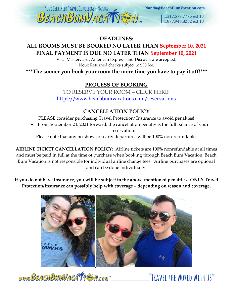

#### **DEADLINES:**

#### **ALL ROOMS MUST BE BOOKED NO LATER THAN September 10, 2021 FINAL PAYMENT IS DUE NO LATER THAN September 10, 2021**

Visa, MasterCard, American Express, and Discover are accepted. Note: Returned checks subject to \$30 fee.

**\*\*\*The sooner you book your room the more time you have to pay it off!\*\*\***

#### **PROCESS OF BOOKING**

TO RESERVE YOUR ROOM – CLICK HERE: <https://www.beachbumvacations.com/reservations>

#### **CANCELLATION POLICY**

PLEASE consider purchasing Travel Protection/ Insurance to avoid penalties!

• From September 24, 2021 forward, the cancellation penalty is the full balance of your reservation.

Please note that any no shows or early departures will be 100% non-refundable.

**AIRLINE TICKET CANCELLATION POLICY:** Airline tickets are 100% nonrefundable at all times and must be paid in full at the time of purchase when booking through Beach Bum Vacation. Beach Bum Vacation is not responsible for individual airline change fees. Airline purchases are optional and can be done individually.

**If you do not have insurance, you will be subject to the above-mentioned penalties. ONLY Travel Protection/Insurance can possibly help with coverage – depending on reason and coverage.**



www.BEACHBUMVACATTEM.com